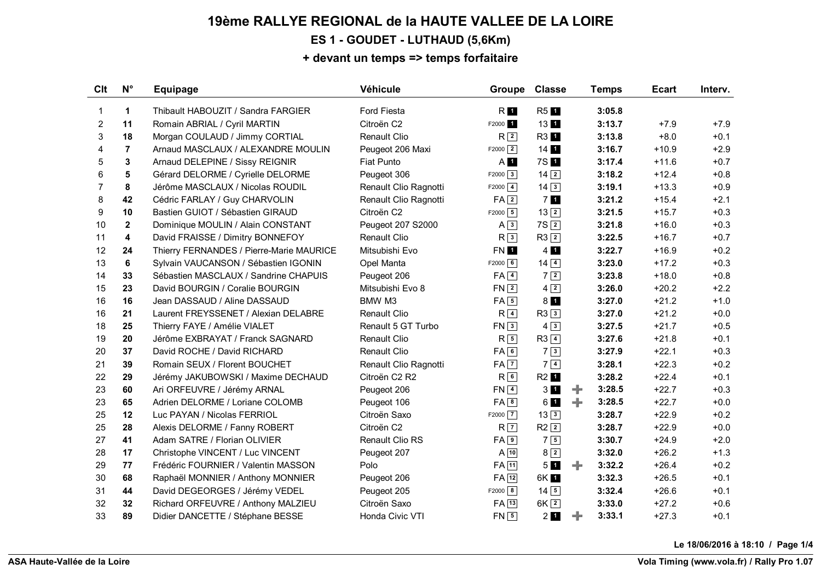## **19ème RALLYE REGIONAL de la HAUTE VALLEE DE LA LOIRE ES 1 - GOUDET - LUTHAUD (5,6Km)**

#### **+ devant un temps => temps forfaitaire**

| Clt            | $N^{\circ}$    | Equipage                                 | Véhicule              | Groupe              | <b>Classe</b>                            | <b>Temps</b> | <b>Ecart</b> | Interv. |
|----------------|----------------|------------------------------------------|-----------------------|---------------------|------------------------------------------|--------------|--------------|---------|
| 1              | $\mathbf{1}$   | Thibault HABOUZIT / Sandra FARGIER       | <b>Ford Fiesta</b>    | R <b>I</b>          | <b>R51</b>                               | 3:05.8       |              |         |
| $\overline{2}$ | 11             | Romain ABRIAL / Cyril MARTIN             | Citroën C2            | F2000 1             | 13 1                                     | 3:13.7       | $+7.9$       | $+7.9$  |
| 3              | 18             | Morgan COULAUD / Jimmy CORTIAL           | <b>Renault Clio</b>   | R <sup>2</sup>      | <b>R31</b>                               | 3:13.8       | $+8.0$       | $+0.1$  |
| 4              | $\overline{7}$ | Arnaud MASCLAUX / ALEXANDRE MOULIN       | Peugeot 206 Maxi      | $F2000$ 2           | $14$ 1                                   | 3:16.7       | $+10.9$      | $+2.9$  |
| 5              | 3              | Arnaud DELEPINE / Sissy REIGNIR          | <b>Fiat Punto</b>     | $A$ 1               | 7S 1                                     | 3:17.4       | $+11.6$      | $+0.7$  |
| 6              | 5              | Gérard DELORME / Cyrielle DELORME        | Peugeot 306           | $F2000$ 3           | $14$ $2$                                 | 3:18.2       | $+12.4$      | $+0.8$  |
| $\overline{7}$ | 8              | Jérôme MASCLAUX / Nicolas ROUDIL         | Renault Clio Ragnotti | $F2000$ $4$         | $14\overline{3}$                         | 3:19.1       | $+13.3$      | $+0.9$  |
| 8              | 42             | Cédric FARLAY / Guy CHARVOLIN            | Renault Clio Ragnotti | FA <sup>2</sup>     | 7 <sub>1</sub>                           | 3:21.2       | $+15.4$      | $+2.1$  |
| 9              | 10             | Bastien GUIOT / Sébastien GIRAUD         | Citroën C2            | $F2000$ 5           | $13\overline{2}$                         | 3:21.5       | $+15.7$      | $+0.3$  |
| 10             | $\mathbf{2}$   | Dominique MOULIN / Alain CONSTANT        | Peugeot 207 S2000     | $A \overline{3}$    | 7S <sub>2</sub>                          | 3:21.8       | $+16.0$      | $+0.3$  |
| 11             | 4              | David FRAISSE / Dimitry BONNEFOY         | <b>Renault Clio</b>   | R <sub>3</sub>      | $R3$ <sup>2</sup>                        | 3:22.5       | $+16.7$      | $+0.7$  |
| 12             | 24             | Thierry FERNANDES / Pierre-Marie MAURICE | Mitsubishi Evo        | FN 1                | $4 \blacksquare$                         | 3:22.7       | $+16.9$      | $+0.2$  |
| 13             | 6              | Sylvain VAUCANSON / Sébastien IGONIN     | Opel Manta            | $F2000$ 6           | $14\sqrt{4}$                             | 3:23.0       | $+17.2$      | $+0.3$  |
| 14             | 33             | Sébastien MASCLAUX / Sandrine CHAPUIS    | Peugeot 206           | $FA$ <sup>4</sup>   | $7\sqrt{2}$                              | 3:23.8       | $+18.0$      | $+0.8$  |
| 15             | 23             | David BOURGIN / Coralie BOURGIN          | Mitsubishi Evo 8      | $FN$ <sup>2</sup>   | $4\sqrt{2}$                              | 3:26.0       | $+20.2$      | $+2.2$  |
| 16             | 16             | Jean DASSAUD / Aline DASSAUD             | BMW M3                | $FA \overline{5}$   | 8 <sub>1</sub>                           | 3:27.0       | $+21.2$      | $+1.0$  |
| 16             | 21             | Laurent FREYSSENET / Alexian DELABRE     | <b>Renault Clio</b>   | $R\sqrt{4}$         | $R3\sqrt{3}$                             | 3:27.0       | $+21.2$      | $+0.0$  |
| 18             | 25             | Thierry FAYE / Amélie VIALET             | Renault 5 GT Turbo    | FN3                 | $4\sqrt{3}$                              | 3:27.5       | $+21.7$      | $+0.5$  |
| 19             | 20             | Jérôme EXBRAYAT / Franck SAGNARD         | <b>Renault Clio</b>   | $R\sqrt{5}$         | $R3$ $\boxed{4}$                         | 3:27.6       | $+21.8$      | $+0.1$  |
| 20             | 37             | David ROCHE / David RICHARD              | Renault Clio          | FA6                 | $7\sqrt{3}$                              | 3:27.9       | $+22.1$      | $+0.3$  |
| 21             | 39             | Romain SEUX / Florent BOUCHET            | Renault Clio Ragnotti | $FA$ $7$            | $7\vert 4 \vert$                         | 3:28.1       | $+22.3$      | $+0.2$  |
| 22             | 29             | Jérémy JAKUBOWSKI / Maxime DECHAUD       | Citroën C2 R2         | R6                  | R <sub>2</sub> 1                         | 3:28.2       | $+22.4$      | $+0.1$  |
| 23             | 60             | Ari ORFEUVRE / Jérémy ARNAL              | Peugeot 206           | $FN$ <sup>4</sup>   | 3                                        | 3:28.5<br>÷. | $+22.7$      | $+0.3$  |
| 23             | 65             | Adrien DELORME / Loriane COLOMB          | Peugeot 106           | FA8                 | 6 1                                      | ÷<br>3:28.5  | $+22.7$      | $+0.0$  |
| 25             | 12             | Luc PAYAN / Nicolas FERRIOL              | Citroën Saxo          | $F2000$ $\boxed{7}$ | $13\overline{3}$                         | 3:28.7       | $+22.9$      | $+0.2$  |
| 25             | 28             | Alexis DELORME / Fanny ROBERT            | Citroën C2            | $R$ $\vert$ 7       | $R2$ <sup>2</sup>                        | 3:28.7       | $+22.9$      | $+0.0$  |
| 27             | 41             | Adam SATRE / Florian OLIVIER             | Renault Clio RS       | $FA$ <sup>9</sup>   | $7\sqrt{5}$                              | 3:30.7       | $+24.9$      | $+2.0$  |
| 28             | 17             | Christophe VINCENT / Luc VINCENT         | Peugeot 207           | $A$ 10              | $8\sqrt{2}$                              | 3:32.0       | $+26.2$      | $+1.3$  |
| 29             | 77             | Frédéric FOURNIER / Valentin MASSON      | Polo                  | $FA$ $11$           | 5 <sub>1</sub>                           | 3:32.2<br>÷. | $+26.4$      | $+0.2$  |
| 30             | 68             | Raphaël MONNIER / Anthony MONNIER        | Peugeot 206           | $FA$ <sup>12</sup>  | 6K 1                                     | 3:32.3       | $+26.5$      | $+0.1$  |
| 31             | 44             | David DEGEORGES / Jérémy VEDEL           | Peugeot 205           | $F2000$ 8           | $14\overline{5}$                         | 3:32.4       | $+26.6$      | $+0.1$  |
| 32             | 32             | Richard ORFEUVRE / Anthony MALZIEU       | Citroën Saxo          | $FA$ $13$           | $6K$ <sup>2</sup>                        | 3:33.0       | $+27.2$      | $+0.6$  |
| 33             | 89             | Didier DANCETTE / Stéphane BESSE         | Honda Civic VTI       | $FN$ 5              | $2$ <sub><math>\blacksquare</math></sub> | ÷<br>3:33.1  | $+27.3$      | $+0.1$  |

**Le 18/06/2016 à 18:10 / Page 1/4**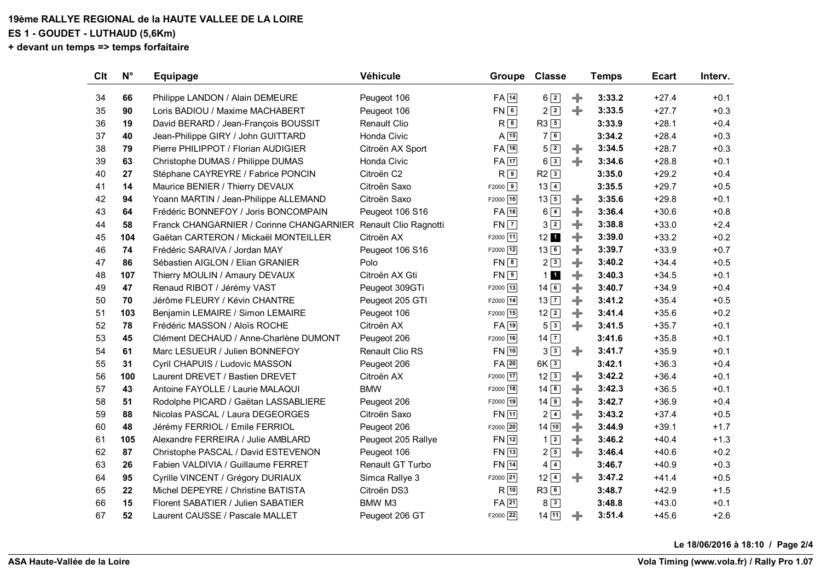## **19ème RALLYE REGIONAL de la HAUTE VALLEE DE LA LOIRE**

**ES 1 - GOUDET - LUTHAUD (5,6Km)**

**+ devant un temps => temps forfaitaire**

| <b>Clt</b> | $N^{\circ}$ | <b>Equipage</b>                          | Véhicule               | Groupe             | <b>Classe</b>                        |   | <b>Temps</b> | <b>Ecart</b> | Interv. |
|------------|-------------|------------------------------------------|------------------------|--------------------|--------------------------------------|---|--------------|--------------|---------|
| 34         | 66          | Philippe LANDON / Alain DEMEURE          | Peugeot 106            | $FA$ $14$          | $6\sqrt{2}$                          | ÷ | 3:33.2       | $+27.4$      | $+0.1$  |
| 35         | 90          | Loris BADIOU / Maxime MACHABERT          | Peugeot 106            | FN6                | $2\sqrt{2}$                          | ÷ | 3:33.5       | $+27.7$      | $+0.3$  |
| 36         | 19          | David BERARD / Jean-François BOUSSIT     | <b>Renault Clio</b>    | $R^{8}$            | $R3\sqrt{5}$                         |   | 3:33.9       | $+28.1$      | $+0.4$  |
| 37         | 40          | Jean-Philippe GIRY / John GUITTARD       | Honda Civic            | $A$ 15             | 76                                   |   | 3:34.2       | $+28.4$      | $+0.3$  |
| 38         | 79          | Pierre PHILIPPOT / Florian AUDIGIER      | Citroën AX Sport       | $FA$ $16$          | $5\sqrt{2}$                          | ÷ | 3:34.5       | $+28.7$      | $+0.3$  |
| 39         | 63          | Christophe DUMAS / Philippe DUMAS        | Honda Civic            | $FA$ <sup>17</sup> | $6\sqrt{3}$                          | ÷ | 3:34.6       | $+28.8$      | $+0.1$  |
| 40         | 27          | Stéphane CAYREYRE / Fabrice PONCIN       | Citroën C2             | $R^{9}$            | R23                                  |   | 3:35.0       | $+29.2$      | $+0.4$  |
| 41         | 14          | Maurice BENIER / Thierry DEVAUX          | Citroën Saxo           | $F2000$ 9          | $13\sqrt{4}$                         |   | 3:35.5       | $+29.7$      | $+0.5$  |
| 42         | 94          | Yoann MARTIN / Jean-Philippe ALLEMAND    | Citroën Saxo           | F2000 10           | $13\overline{5}$                     | ÷ | 3:35.6       | $+29.8$      | $+0.1$  |
| 43         | 64          | Frédéric BONNEFOY / Joris BONCOMPAIN     | Peugeot 106 S16        | $FA$ <sup>18</sup> | $6\sqrt{4}$                          | ÷ | 3:36.4       | $+30.6$      | $+0.8$  |
| 44         | 58          | Franck CHANGARNIER / Corinne CHANGARNIER | Renault Clio Ragnotti  | $FN$ $7$           | $3\sqrt{2}$                          | ÷ | 3:38.8       | $+33.0$      | $+2.4$  |
| 45         | 104         | Gaëtan CARTERON / Mickaël MONTEILLER     | Citroën AX             | F2000 11           | $12$ 1                               | ÷ | 3:39.0       | $+33.2$      | $+0.2$  |
| 46         | 74          | Frédéric SARAIVA / Jordan MAY            | Peugeot 106 S16        | F2000 12           | $13\sqrt{6}$                         | ÷ | 3:39.7       | $+33.9$      | $+0.7$  |
| 47         | 86          | Sébastien AIGLON / Elian GRANIER         | Polo                   | $FN$ $8$           | 2 <sup>3</sup>                       | ÷ | 3:40.2       | $+34.4$      | $+0.5$  |
| 48         | 107         | Thierry MOULIN / Amaury DEVAUX           | Citroën AX Gti         | $FN \boxed{9}$     | 11                                   | ÷ | 3:40.3       | $+34.5$      | $+0.1$  |
| 49         | 47          | Renaud RIBOT / Jérémy VAST               | Peugeot 309GTi         | F2000 13           | $14\sqrt{6}$                         | ÷ | 3:40.7       | $+34.9$      | $+0.4$  |
| 50         | 70          | Jérôme FLEURY / Kévin CHANTRE            | Peugeot 205 GTI        | $F2000$ 14         | $13\overline{7}$                     | ╬ | 3:41.2       | $+35.4$      | $+0.5$  |
| 51         | 103         | Benjamin LEMAIRE / Simon LEMAIRE         | Peugeot 106            | F2000 15           | $12\sqrt{2}$                         | ÷ | 3:41.4       | $+35.6$      | $+0.2$  |
| 52         | 78          | Frédéric MASSON / Aloïs ROCHE            | Citroën AX             | $FA$ 19            | $5\sqrt{3}$                          | ÷ | 3:41.5       | $+35.7$      | $+0.1$  |
| 53         | 45          | Clément DECHAUD / Anne-Charlène DUMONT   | Peugeot 206            | F2000 16           | $14\overline{7}$                     |   | 3:41.6       | $+35.8$      | $+0.1$  |
| 54         | 61          | Marc LESUEUR / Julien BONNEFOY           | <b>Renault Clio RS</b> | FN 10              | $3\sqrt{3}$                          | ÷ | 3:41.7       | $+35.9$      | $+0.1$  |
| 55         | 31          | Cyril CHAPUIS / Ludovic MASSON           | Peugeot 206            | $FA$ <sub>20</sub> | 6K <sub>3</sub>                      |   | 3:42.1       | $+36.3$      | $+0.4$  |
| 56         | 100         | Laurent DREVET / Bastien DREVET          | Citroën AX             | F2000 17           | $12\sqrt{3}$                         | ÷ | 3:42.2       | $+36.4$      | $+0.1$  |
| 57         | 43          | Antoine FAYOLLE / Laurie MALAQUI         | <b>BMW</b>             | F2000 18           | $14 \overline{\overline{\smash{8}}}$ | ÷ | 3:42.3       | $+36.5$      | $+0.1$  |
| 58         | 51          | Rodolphe PICARD / Gaëtan LASSABLIERE     | Peugeot 206            | F2000 19           | $14$ 9                               | ÷ | 3:42.7       | $+36.9$      | $+0.4$  |
| 59         | 88          | Nicolas PASCAL / Laura DEGEORGES         | Citroën Saxo           | FN 11              | $2\sqrt{4}$                          | ÷ | 3:43.2       | $+37.4$      | $+0.5$  |
| 60         | 48          | Jérémy FERRIOL / Emile FERRIOL           | Peugeot 206            | F2000 20           | $14$ $10$                            | ÷ | 3:44.9       | $+39.1$      | $+1.7$  |
| 61         | 105         | Alexandre FERREIRA / Julie AMBLARD       | Peugeot 205 Rallye     | $FN$ $12$          | $1\sqrt{2}$                          | ÷ | 3:46.2       | $+40.4$      | $+1.3$  |
| 62         | 87          | Christophe PASCAL / David ESTEVENON      | Peugeot 106            | $FN$ $13$          | $2\sqrt{5}$                          | ÷ | 3:46.4       | $+40.6$      | $+0.2$  |
| 63         | 26          | Fabien VALDIVIA / Guillaume FERRET       | Renault GT Turbo       | $FN$ $14$          | $4\sqrt{4}$                          |   | 3:46.7       | $+40.9$      | $+0.3$  |
| 64         | 95          | Cyrille VINCENT / Grégory DURIAUX        | Simca Rallye 3         | F2000 21           | $12\sqrt{4}$                         | ÷ | 3:47.2       | $+41.4$      | $+0.5$  |
| 65         | 22          | Michel DEPEYRE / Christine BATISTA       | Citroën DS3            | $R$ <sup>10</sup>  | R36                                  |   | 3:48.7       | $+42.9$      | $+1.5$  |
| 66         | 15          | Florent SABATIER / Julien SABATIER       | BMW M3                 | $FA$ 21            | $8\sqrt{3}$                          |   | 3:48.8       | $+43.0$      | $+0.1$  |
| 67         | 52          | Laurent CAUSSE / Pascale MALLET          | Peugeot 206 GT         | F2000 22           | 14 11                                | ÷ | 3:51.4       | $+45.6$      | $+2.6$  |

**Le 18/06/2016 à 18:10 / Page 2/4**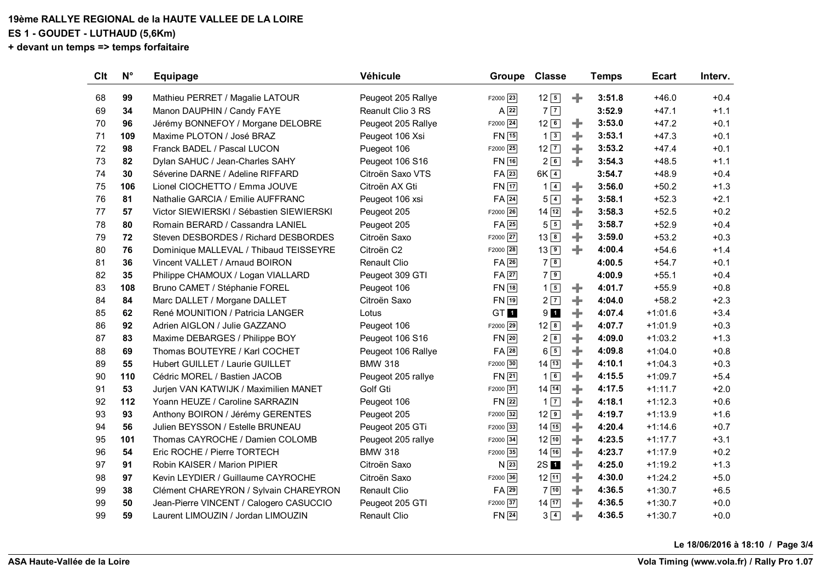# **19ème RALLYE REGIONAL de la HAUTE VALLEE DE LA LOIRE**

**ES 1 - GOUDET - LUTHAUD (5,6Km)**

**+ devant un temps => temps forfaitaire**

| Clt | $N^{\circ}$ | <b>Equipage</b>                          | <b>Véhicule</b>     | Groupe                | <b>Classe</b>       |   | <b>Temps</b> | <b>Ecart</b> | Interv. |
|-----|-------------|------------------------------------------|---------------------|-----------------------|---------------------|---|--------------|--------------|---------|
| 68  | 99          | Mathieu PERRET / Magalie LATOUR          | Peugeot 205 Rallye  | $F2000$ <sup>23</sup> | $12\sqrt{5}$        | ÷ | 3:51.8       | $+46.0$      | $+0.4$  |
| 69  | 34          | Manon DAUPHIN / Candy FAYE               | Reanult Clio 3 RS   | $A \overline{22}$     | 7 7                 |   | 3:52.9       | $+47.1$      | $+1.1$  |
| 70  | 96          | Jérémy BONNEFOY / Morgane DELOBRE        | Peugeot 205 Rallye  | F2000 24              | $12\sqrt{6}$        | ÷ | 3:53.0       | $+47.2$      | $+0.1$  |
| 71  | 109         | Maxime PLOTON / José BRAZ                | Peugeot 106 Xsi     | <b>FN</b> 15          | $1\vert 3 \vert$    | ÷ | 3:53.1       | $+47.3$      | $+0.1$  |
| 72  | 98          | Franck BADEL / Pascal LUCON              | Puegeot 106         | $F2000$ 25            | $12\overline{7}$    | ÷ | 3:53.2       | $+47.4$      | $+0.1$  |
| 73  | 82          | Dylan SAHUC / Jean-Charles SAHY          | Peugeot 106 S16     | FN 16                 | 26                  | ÷ | 3:54.3       | $+48.5$      | $+1.1$  |
| 74  | 30          | Séverine DARNE / Adeline RIFFARD         | Citroën Saxo VTS    | $FA$ <sup>23</sup>    | $6K$ $4$            |   | 3:54.7       | $+48.9$      | $+0.4$  |
| 75  | 106         | Lionel CIOCHETTO / Emma JOUVE            | Citroën AX Gti      | $FN$ $17$             | $1\vert 4 \vert$    | ÷ | 3:56.0       | $+50.2$      | $+1.3$  |
| 76  | 81          | Nathalie GARCIA / Emilie AUFFRANC        | Peugeot 106 xsi     | $FA$ 24               | $5\vert 4 \vert$    | ÷ | 3:58.1       | $+52.3$      | $+2.1$  |
| 77  | 57          | Victor SIEWIERSKI / Sébastien SIEWIERSKI | Peugeot 205         | F2000 26              | $14 \overline{12}$  | ÷ | 3:58.3       | $+52.5$      | $+0.2$  |
| 78  | 80          | Romain BERARD / Cassandra LANIEL         | Peugeot 205         | $FA$ 25               | $5\sqrt{5}$         | ÷ | 3:58.7       | $+52.9$      | $+0.4$  |
| 79  | 72          | Steven DESBORDES / Richard DESBORDES     | Citroën Saxo        | F2000 27              | 13 8                | ÷ | 3:59.0       | $+53.2$      | $+0.3$  |
| 80  | 76          | Dominique MALLEVAL / Thibaud TEISSEYRE   | Citroën C2          | F2000 28              | 139                 | ÷ | 4:00.4       | $+54.6$      | $+1.4$  |
| 81  | 36          | Vincent VALLET / Arnaud BOIRON           | <b>Renault Clio</b> | $FA$ 26               | 78                  |   | 4:00.5       | $+54.7$      | $+0.1$  |
| 82  | 35          | Philippe CHAMOUX / Logan VIALLARD        | Peugeot 309 GTI     | $FA$ 27               | $7\sqrt{9}$         |   | 4:00.9       | $+55.1$      | $+0.4$  |
| 83  | 108         | Bruno CAMET / Stéphanie FOREL            | Peugeot 106         | FN 18                 | $1\sqrt{5}$         | ÷ | 4:01.7       | $+55.9$      | $+0.8$  |
| 84  | 84          | Marc DALLET / Morgane DALLET             | Citroën Saxo        | $FN$ <sup>19</sup>    | 2 7                 | ÷ | 4:04.0       | $+58.2$      | $+2.3$  |
| 85  | 62          | René MOUNITION / Patricia LANGER         | Lotus               | GT <sub>1</sub>       | $9$ $1$             | ÷ | 4:07.4       | $+1:01.6$    | $+3.4$  |
| 86  | 92          | Adrien AIGLON / Julie GAZZANO            | Peugeot 106         | F2000 29              | 12 8                | ÷ | 4:07.7       | $+1:01.9$    | $+0.3$  |
| 87  | 83          | Maxime DEBARGES / Philippe BOY           | Peugeot 106 S16     | $FN$ 20               | 2 8                 | ÷ | 4:09.0       | $+1:03.2$    | $+1.3$  |
| 88  | 69          | Thomas BOUTEYRE / Karl COCHET            | Peugeot 106 Rallye  | FA 28                 | $6\sqrt{5}$         | ÷ | 4:09.8       | $+1:04.0$    | $+0.8$  |
| 89  | 55          | Hubert GUILLET / Laurie GUILLET          | <b>BMW 318</b>      | F2000 30              | 14 13               | ÷ | 4:10.1       | $+1:04.3$    | $+0.3$  |
| 90  | 110         | Cédric MOREL / Bastien JACOB             | Peugeot 205 rallye  | $FN$ 21               | 16                  | ÷ | 4:15.5       | $+1:09.7$    | $+5.4$  |
| 91  | 53          | Jurjen VAN KATWIJK / Maximilien MANET    | Golf Gti            | F2000 31              | $14 \overline{)14}$ | ÷ | 4:17.5       | $+1:11.7$    | $+2.0$  |
| 92  | 112         | Yoann HEUZE / Caroline SARRAZIN          | Peugeot 106         | $FN$ 22               | $1\overline{7}$     | ÷ | 4:18.1       | $+1:12.3$    | $+0.6$  |
| 93  | 93          | Anthony BOIRON / Jérémy GERENTES         | Peugeot 205         | F2000 32              | 129                 | ÷ | 4:19.7       | $+1:13.9$    | $+1.6$  |
| 94  | 56          | Julien BEYSSON / Estelle BRUNEAU         | Peugeot 205 GTi     | F2000 33              | 14 15               | ÷ | 4:20.4       | $+1:14.6$    | $+0.7$  |
| 95  | 101         | Thomas CAYROCHE / Damien COLOMB          | Peugeot 205 rallye  | F2000 34              | $12$ $10$           | ÷ | 4:23.5       | $+1:17.7$    | $+3.1$  |
| 96  | 54          | Eric ROCHE / Pierre TORTECH              | <b>BMW 318</b>      | F2000 35              | 14 16               | ÷ | 4:23.7       | $+1:17.9$    | $+0.2$  |
| 97  | 91          | Robin KAISER / Marion PIPIER             | Citroën Saxo        | $N\sqrt{23}$          | 2S <sub>1</sub>     | ÷ | 4:25.0       | $+1:19.2$    | $+1.3$  |
| 98  | 97          | Kevin LEYDIER / Guillaume CAYROCHE       | Citroën Saxo        | F2000 36              | 12 11               | ÷ | 4:30.0       | $+1:24.2$    | $+5.0$  |
| 99  | 38          | Clément CHAREYRON / Sylvain CHAREYRON    | <b>Renault Clio</b> | $FA$ <sub>29</sub>    | $7\sqrt{10}$        | ÷ | 4:36.5       | $+1:30.7$    | $+6.5$  |
| 99  | 50          | Jean-Pierre VINCENT / Calogero CASUCCIO  | Peugeot 205 GTI     | F2000 37              | 14 17               | ÷ | 4:36.5       | $+1:30.7$    | $+0.0$  |
| 99  | 59          | Laurent LIMOUZIN / Jordan LIMOUZIN       | <b>Renault Clio</b> | $FN$ 24               | $3\sqrt{4}$         | ÷ | 4:36.5       | $+1:30.7$    | $+0.0$  |

**Le 18/06/2016 à 18:10 / Page 3/4**